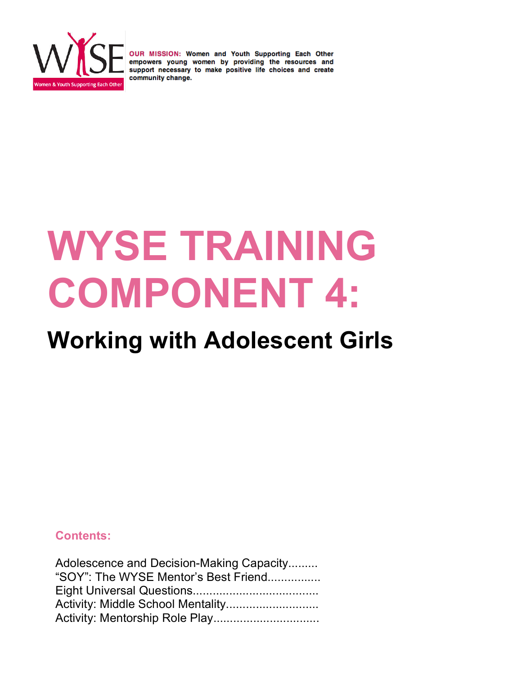

# **WYSE TRAINING COMPONENT 4:**

# **Working with Adolescent Girls**

### **Contents:**

| Adolescence and Decision-Making Capacity |  |
|------------------------------------------|--|
| "SOY": The WYSE Mentor's Best Friend     |  |
|                                          |  |
|                                          |  |
|                                          |  |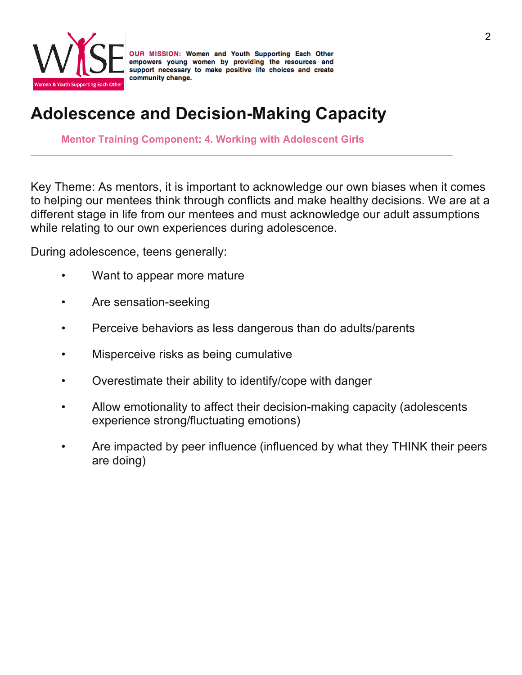

# **Adolescence and Decision-Making Capacity**

**Mentor Training Component: 4. Working with Adolescent Girls**

Key Theme: As mentors, it is important to acknowledge our own biases when it comes to helping our mentees think through conflicts and make healthy decisions. We are at a different stage in life from our mentees and must acknowledge our adult assumptions while relating to our own experiences during adolescence.

During adolescence, teens generally:

- Want to appear more mature
- Are sensation-seeking
- Perceive behaviors as less dangerous than do adults/parents
- Misperceive risks as being cumulative
- Overestimate their ability to identify/cope with danger
- Allow emotionality to affect their decision-making capacity (adolescents experience strong/fluctuating emotions)
- Are impacted by peer influence (influenced by what they THINK their peers are doing)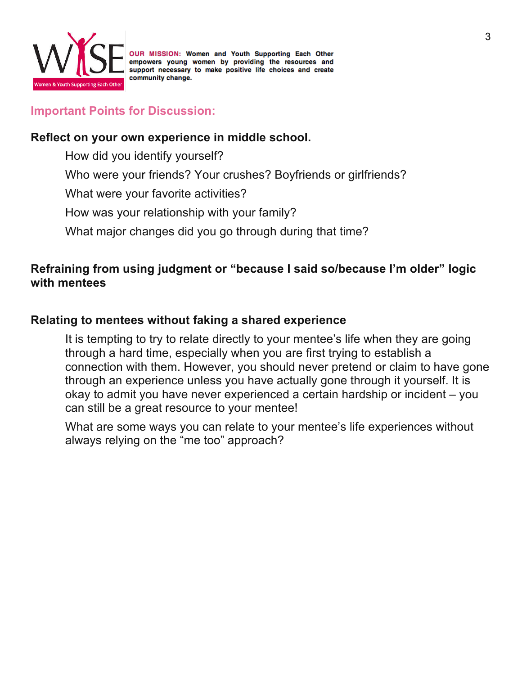

#### **Important Points for Discussion:**

#### **Reflect on your own experience in middle school.**

How did you identify yourself?

Who were your friends? Your crushes? Boyfriends or girlfriends?

What were your favorite activities?

How was your relationship with your family?

What major changes did you go through during that time?

## **Refraining from using judgment or "because I said so/because I'm older" logic with mentees**

#### **Relating to mentees without faking a shared experience**

It is tempting to try to relate directly to your mentee's life when they are going through a hard time, especially when you are first trying to establish a connection with them. However, you should never pretend or claim to have gone through an experience unless you have actually gone through it yourself. It is okay to admit you have never experienced a certain hardship or incident – you can still be a great resource to your mentee!

What are some ways you can relate to your mentee's life experiences without always relying on the "me too" approach?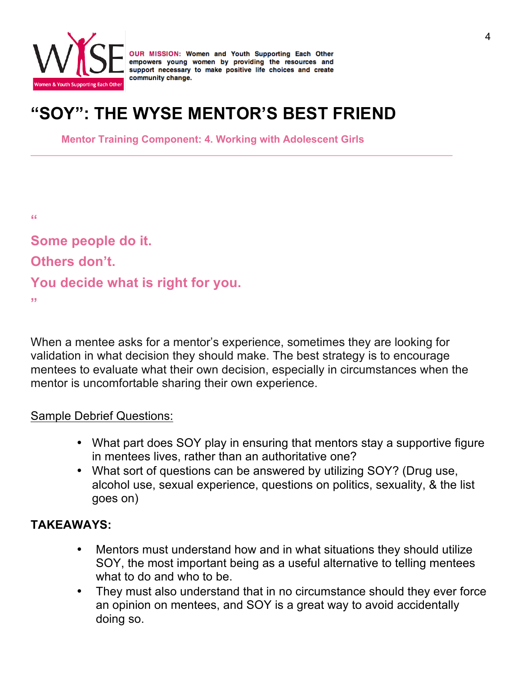

# **"SOY": THE WYSE MENTOR'S BEST FRIEND**

**Mentor Training Component: 4. Working with Adolescent Girls**

**"**

**Some people do it. Others don't. You decide what is right for you. "**

When a mentee asks for a mentor's experience, sometimes they are looking for validation in what decision they should make. The best strategy is to encourage mentees to evaluate what their own decision, especially in circumstances when the mentor is uncomfortable sharing their own experience.

### Sample Debrief Questions:

- What part does SOY play in ensuring that mentors stay a supportive figure in mentees lives, rather than an authoritative one?
- What sort of questions can be answered by utilizing SOY? (Drug use, alcohol use, sexual experience, questions on politics, sexuality, & the list goes on)

### **TAKEAWAYS:**

- Mentors must understand how and in what situations they should utilize SOY, the most important being as a useful alternative to telling mentees what to do and who to be.
- They must also understand that in no circumstance should they ever force an opinion on mentees, and SOY is a great way to avoid accidentally doing so.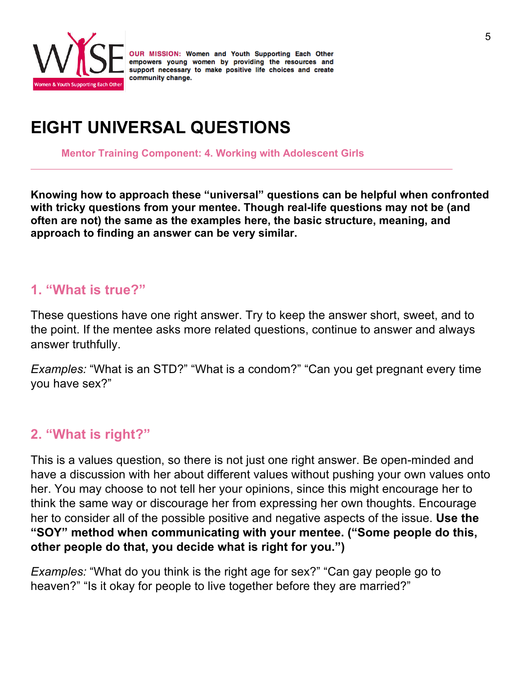

# **EIGHT UNIVERSAL QUESTIONS**

**Mentor Training Component: 4. Working with Adolescent Girls**

**Knowing how to approach these "universal" questions can be helpful when confronted with tricky questions from your mentee. Though real-life questions may not be (and often are not) the same as the examples here, the basic structure, meaning, and approach to finding an answer can be very similar.** 

## **1. "What is true?"**

These questions have one right answer. Try to keep the answer short, sweet, and to the point. If the mentee asks more related questions, continue to answer and always answer truthfully.

*Examples:* "What is an STD?" "What is a condom?" "Can you get pregnant every time you have sex?"

## **2. "What is right?"**

This is a values question, so there is not just one right answer. Be open-minded and have a discussion with her about different values without pushing your own values onto her. You may choose to not tell her your opinions, since this might encourage her to think the same way or discourage her from expressing her own thoughts. Encourage her to consider all of the possible positive and negative aspects of the issue. **Use the "SOY" method when communicating with your mentee. ("Some people do this, other people do that, you decide what is right for you.")** 

*Examples:* "What do you think is the right age for sex?" "Can gay people go to heaven?" "Is it okay for people to live together before they are married?"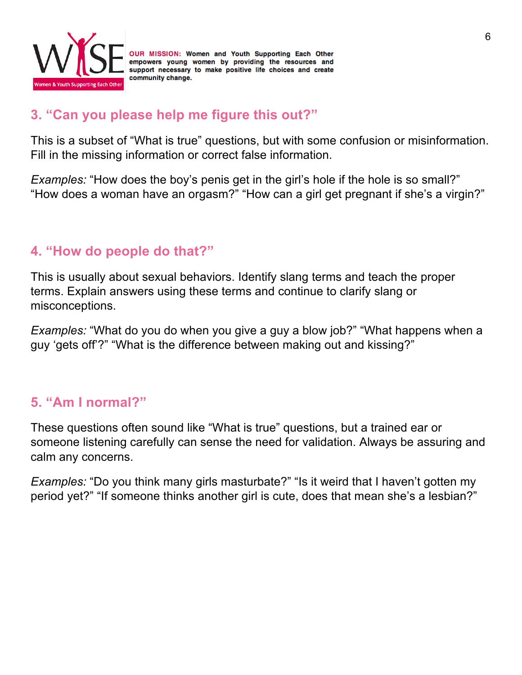

## **3. "Can you please help me figure this out?"**

This is a subset of "What is true" questions, but with some confusion or misinformation. Fill in the missing information or correct false information.

*Examples:* "How does the boy's penis get in the girl's hole if the hole is so small?" "How does a woman have an orgasm?" "How can a girl get pregnant if she's a virgin?"

## **4. "How do people do that?"**

This is usually about sexual behaviors. Identify slang terms and teach the proper terms. Explain answers using these terms and continue to clarify slang or misconceptions.

*Examples:* "What do you do when you give a guy a blow job?" "What happens when a guy 'gets off'?" "What is the difference between making out and kissing?"

## **5. "Am I normal?"**

These questions often sound like "What is true" questions, but a trained ear or someone listening carefully can sense the need for validation. Always be assuring and calm any concerns.

*Examples:* "Do you think many girls masturbate?" "Is it weird that I haven't gotten my period yet?" "If someone thinks another girl is cute, does that mean she's a lesbian?"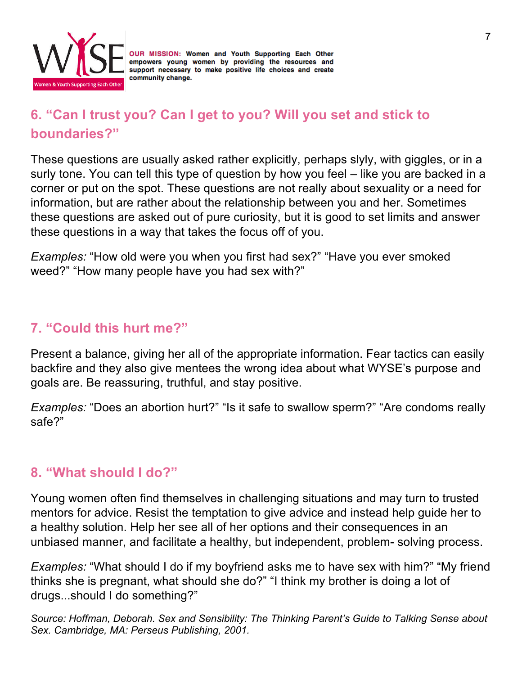

## **6. "Can I trust you? Can I get to you? Will you set and stick to boundaries?"**

These questions are usually asked rather explicitly, perhaps slyly, with giggles, or in a surly tone. You can tell this type of question by how you feel – like you are backed in a corner or put on the spot. These questions are not really about sexuality or a need for information, but are rather about the relationship between you and her. Sometimes these questions are asked out of pure curiosity, but it is good to set limits and answer these questions in a way that takes the focus off of you.

*Examples:* "How old were you when you first had sex?" "Have you ever smoked weed?" "How many people have you had sex with?"

## **7. "Could this hurt me?"**

Present a balance, giving her all of the appropriate information. Fear tactics can easily backfire and they also give mentees the wrong idea about what WYSE's purpose and goals are. Be reassuring, truthful, and stay positive.

*Examples:* "Does an abortion hurt?" "Is it safe to swallow sperm?" "Are condoms really safe?"

## **8. "What should I do?"**

Young women often find themselves in challenging situations and may turn to trusted mentors for advice. Resist the temptation to give advice and instead help guide her to a healthy solution. Help her see all of her options and their consequences in an unbiased manner, and facilitate a healthy, but independent, problem- solving process.

*Examples:* "What should I do if my boyfriend asks me to have sex with him?" "My friend thinks she is pregnant, what should she do?" "I think my brother is doing a lot of drugs...should I do something?"

*Source: Hoffman, Deborah. Sex and Sensibility: The Thinking Parent's Guide to Talking Sense about Sex. Cambridge, MA: Perseus Publishing, 2001.*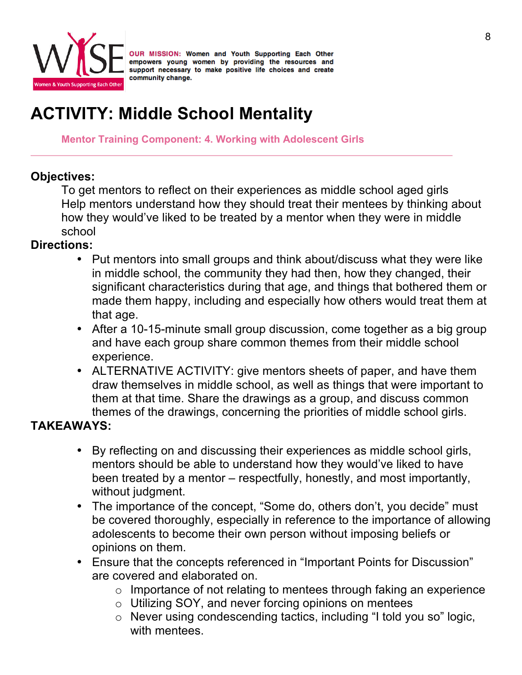

# **ACTIVITY: Middle School Mentality**

**Mentor Training Component: 4. Working with Adolescent Girls**

## **Objectives:**

To get mentors to reflect on their experiences as middle school aged girls Help mentors understand how they should treat their mentees by thinking about how they would've liked to be treated by a mentor when they were in middle school

## **Directions:**

- Put mentors into small groups and think about/discuss what they were like in middle school, the community they had then, how they changed, their significant characteristics during that age, and things that bothered them or made them happy, including and especially how others would treat them at that age.
- After a 10-15-minute small group discussion, come together as a big group and have each group share common themes from their middle school experience.
- ALTERNATIVE ACTIVITY: give mentors sheets of paper, and have them draw themselves in middle school, as well as things that were important to them at that time. Share the drawings as a group, and discuss common themes of the drawings, concerning the priorities of middle school girls.

## **TAKEAWAYS:**

- By reflecting on and discussing their experiences as middle school girls, mentors should be able to understand how they would've liked to have been treated by a mentor – respectfully, honestly, and most importantly, without judgment.
- The importance of the concept, "Some do, others don't, you decide" must be covered thoroughly, especially in reference to the importance of allowing adolescents to become their own person without imposing beliefs or opinions on them.
- Ensure that the concepts referenced in "Important Points for Discussion" are covered and elaborated on.
	- o Importance of not relating to mentees through faking an experience
	- o Utilizing SOY, and never forcing opinions on mentees
	- o Never using condescending tactics, including "I told you so" logic, with mentees.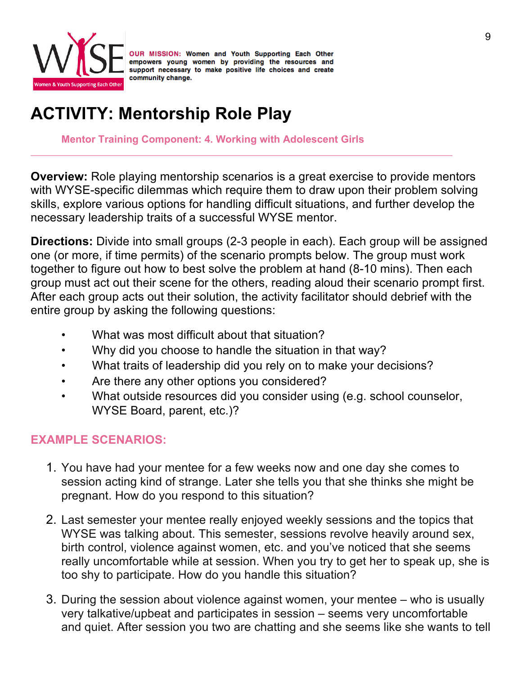

# **ACTIVITY: Mentorship Role Play**

**Mentor Training Component: 4. Working with Adolescent Girls**

**Overview:** Role playing mentorship scenarios is a great exercise to provide mentors with WYSE-specific dilemmas which require them to draw upon their problem solving skills, explore various options for handling difficult situations, and further develop the necessary leadership traits of a successful WYSE mentor.

**Directions:** Divide into small groups (2-3 people in each). Each group will be assigned one (or more, if time permits) of the scenario prompts below. The group must work together to figure out how to best solve the problem at hand (8-10 mins). Then each group must act out their scene for the others, reading aloud their scenario prompt first. After each group acts out their solution, the activity facilitator should debrief with the entire group by asking the following questions:

- What was most difficult about that situation?
- Why did you choose to handle the situation in that way?
- What traits of leadership did you rely on to make your decisions?
- Are there any other options you considered?
- What outside resources did you consider using (e.g. school counselor, WYSE Board, parent, etc.)?

## **EXAMPLE SCENARIOS:**

- 1. You have had your mentee for a few weeks now and one day she comes to session acting kind of strange. Later she tells you that she thinks she might be pregnant. How do you respond to this situation?
- 2. Last semester your mentee really enjoyed weekly sessions and the topics that WYSE was talking about. This semester, sessions revolve heavily around sex, birth control, violence against women, etc. and you've noticed that she seems really uncomfortable while at session. When you try to get her to speak up, she is too shy to participate. How do you handle this situation?
- 3. During the session about violence against women, your mentee who is usually very talkative/upbeat and participates in session – seems very uncomfortable and quiet. After session you two are chatting and she seems like she wants to tell